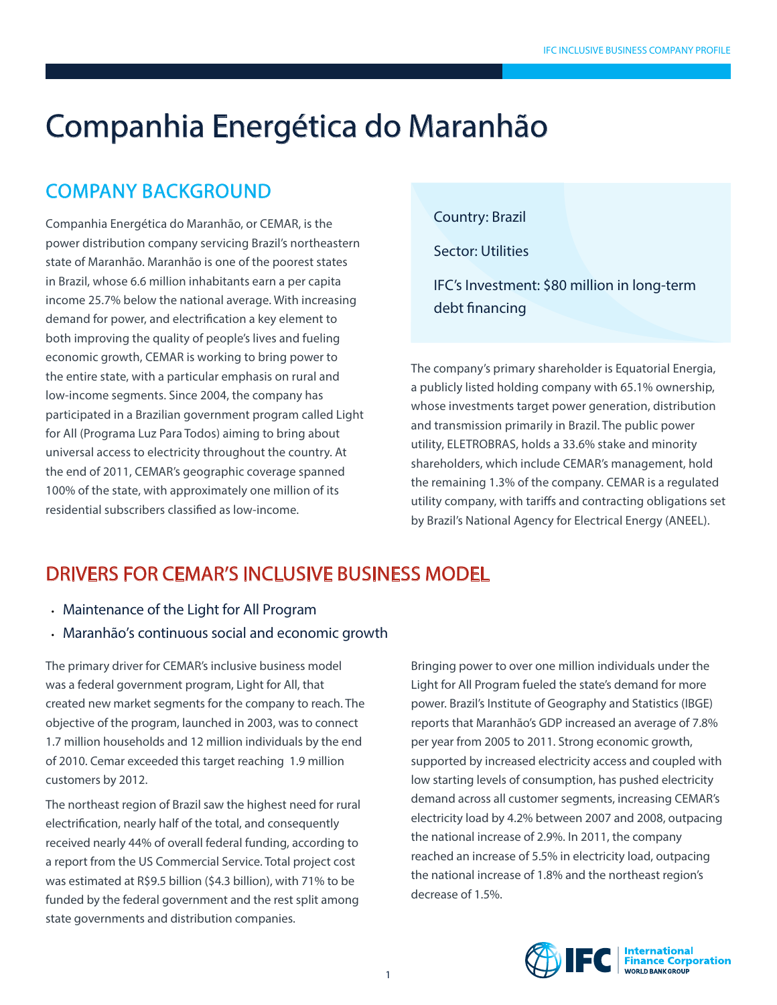# Companhia Energética do Maranhão

### Company background

Companhia Energética do Maranhão, or CEMAR, is the power distribution company servicing Brazil's northeastern state of Maranhão. Maranhão is one of the poorest states in Brazil, whose 6.6 million inhabitants earn a per capita income 25.7% below the national average. With increasing demand for power, and electrification a key element to both improving the quality of people's lives and fueling economic growth, CEMAR is working to bring power to the entire state, with a particular emphasis on rural and low-income segments. Since 2004, the company has participated in a Brazilian government program called Light for All (Programa Luz Para Todos) aiming to bring about universal access to electricity throughout the country. At the end of 2011, CEMAR's geographic coverage spanned 100% of the state, with approximately one million of its residential subscribers classified as low-income.

Country: Brazil

Sector: Utilities

IFC's Investment: \$80 million in long-term debt financing

The company's primary shareholder is Equatorial Energia, a publicly listed holding company with 65.1% ownership, whose investments target power generation, distribution and transmission primarily in Brazil. The public power utility, ELETROBRAS, holds a 33.6% stake and minority shareholders, which include CEMAR's management, hold the remaining 1.3% of the company. CEMAR is a regulated utility company, with tariffs and contracting obligations set by Brazil's National Agency for Electrical Energy (ANEEL).

#### Drivers For cemar'S Inclusive Business Model

- Maintenance of the Light for All Program
- Maranhão's continuous social and economic growth

The primary driver for CEMAR's inclusive business model was a federal government program, Light for All, that created new market segments for the company to reach. The objective of the program, launched in 2003, was to connect 1.7 million households and 12 million individuals by the end of 2010. Cemar exceeded this target reaching 1.9 million customers by 2012.

The northeast region of Brazil saw the highest need for rural electrification, nearly half of the total, and consequently received nearly 44% of overall federal funding, according to a report from the US Commercial Service. Total project cost was estimated at R\$9.5 billion (\$4.3 billion), with 71% to be funded by the federal government and the rest split among state governments and distribution companies.

Bringing power to over one million individuals under the Light for All Program fueled the state's demand for more power. Brazil's Institute of Geography and Statistics (IBGE) reports that Maranhão's GDP increased an average of 7.8% per year from 2005 to 2011. Strong economic growth, supported by increased electricity access and coupled with low starting levels of consumption, has pushed electricity demand across all customer segments, increasing CEMAR's electricity load by 4.2% between 2007 and 2008, outpacing the national increase of 2.9%. In 2011, the company reached an increase of 5.5% in electricity load, outpacing the national increase of 1.8% and the northeast region's decrease of 1.5%.

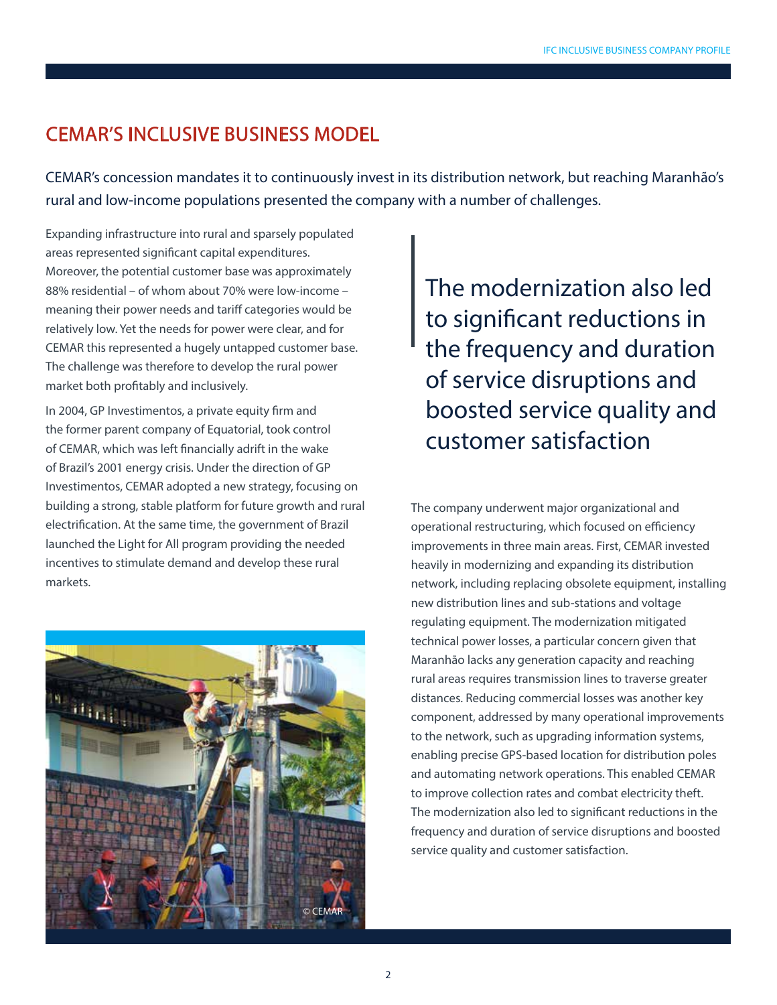#### cemar's Inclusive Business Model

CEMAR's concession mandates it to continuously invest in its distribution network, but reaching Maranhão's rural and low-income populations presented the company with a number of challenges.

Expanding infrastructure into rural and sparsely populated areas represented significant capital expenditures. Moreover, the potential customer base was approximately 88% residential – of whom about 70% were low-income – meaning their power needs and tariff categories would be relatively low. Yet the needs for power were clear, and for CEMAR this represented a hugely untapped customer base. The challenge was therefore to develop the rural power market both profitably and inclusively.

In 2004, GP Investimentos, a private equity firm and the former parent company of Equatorial, took control of CEMAR, which was left financially adrift in the wake of Brazil's 2001 energy crisis. Under the direction of GP Investimentos, CEMAR adopted a new strategy, focusing on building a strong, stable platform for future growth and rural electrification. At the same time, the government of Brazil launched the Light for All program providing the needed incentives to stimulate demand and develop these rural markets.



The modernization also led to significant reductions in the frequency and duration of service disruptions and boosted service quality and customer satisfaction

The company underwent major organizational and operational restructuring, which focused on efficiency improvements in three main areas. First, CEMAR invested heavily in modernizing and expanding its distribution network, including replacing obsolete equipment, installing new distribution lines and sub-stations and voltage regulating equipment. The modernization mitigated technical power losses, a particular concern given that Maranhão lacks any generation capacity and reaching rural areas requires transmission lines to traverse greater distances. Reducing commercial losses was another key component, addressed by many operational improvements to the network, such as upgrading information systems, enabling precise GPS-based location for distribution poles and automating network operations. This enabled CEMAR to improve collection rates and combat electricity theft. The modernization also led to significant reductions in the frequency and duration of service disruptions and boosted service quality and customer satisfaction.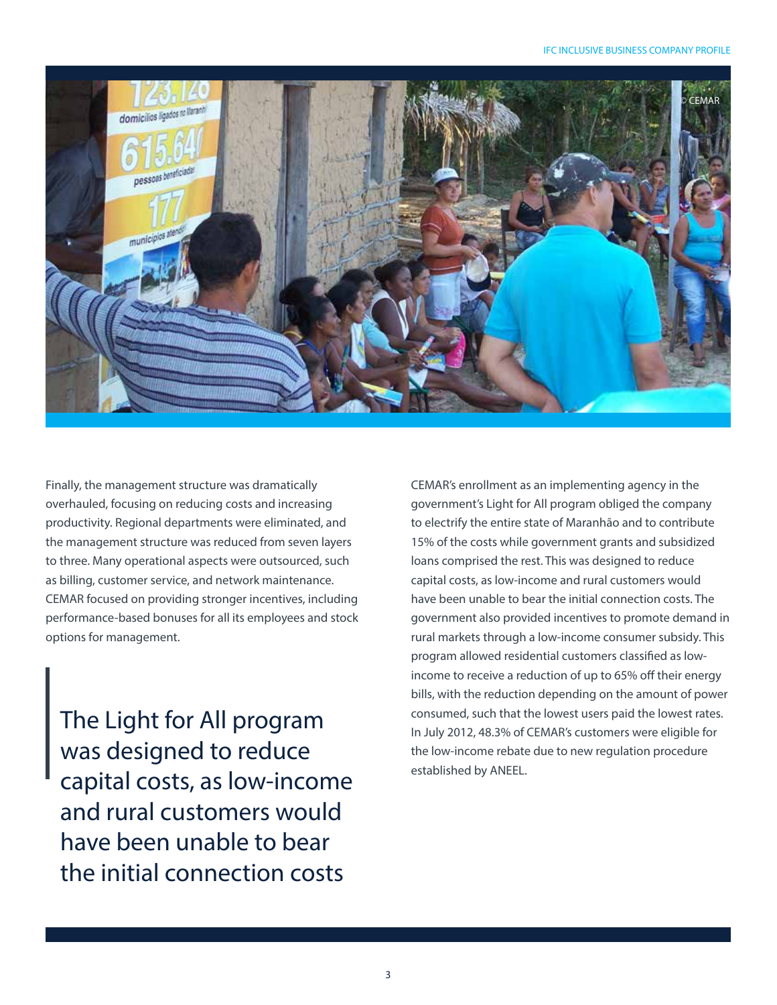

Finally, the management structure was dramatically overhauled, focusing on reducing costs and increasing productivity. Regional departments were eliminated, and the management structure was reduced from seven layers to three. Many operational aspects were outsourced, such as billing, customer service, and network maintenance. CEMAR focused on providing stronger incentives, including performance-based bonuses for all its employees and stock options for management.

The Light for All program was designed to reduce capital costs, as low-income and rural customers would have been unable to bear the initial connection costs

CEMAR's enrollment as an implementing agency in the government's Light for All program obliged the company to electrify the entire state of Maranhão and to contribute 15% of the costs while government grants and subsidized loans comprised the rest. This was designed to reduce capital costs, as low-income and rural customers would have been unable to bear the initial connection costs. The government also provided incentives to promote demand in rural markets through a low-income consumer subsidy. This program allowed residential customers classified as lowincome to receive a reduction of up to 65% off their energy bills, with the reduction depending on the amount of power consumed, such that the lowest users paid the lowest rates. In July 2012, 48.3% of CEMAR's customers were eligible for the low-income rebate due to new regulation procedure established by ANEEL.